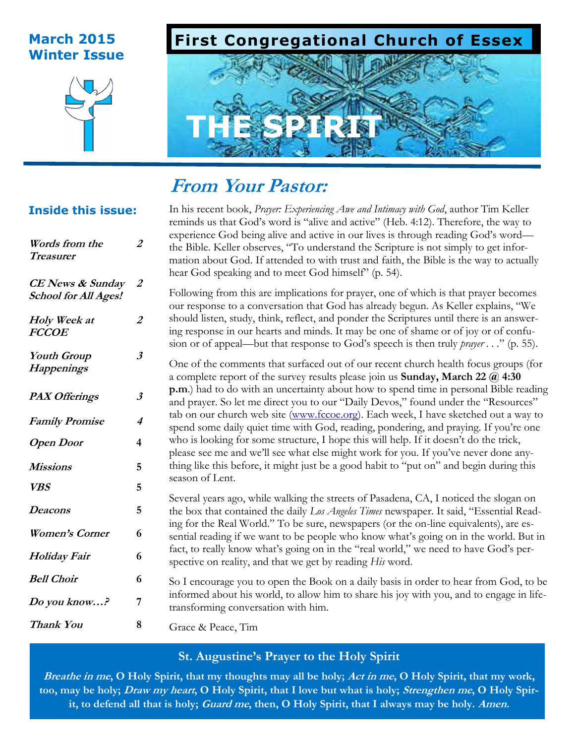# **Winter Issue**



# **March 2015 First Congregational Church of Essex**



# **From Your Pastor:**

# **Inside this issue:**

| Words from the<br><b>Treasurer</b>                     | 2                    |
|--------------------------------------------------------|----------------------|
| <b>CE</b> News & Sunday<br><b>School for All Ages!</b> | 2                    |
| Holy Week at<br><b>FCCOE</b>                           | 2                    |
| <b>Youth Group</b><br><b>Happenings</b>                | 3                    |
| <b>PAX Offerings</b>                                   | $\boldsymbol{\beta}$ |
| <b>Family Promise</b>                                  | 4                    |
| <b>Open Door</b>                                       | 4                    |
| Missions                                               | 5                    |
| <b>VBS</b>                                             | 5                    |
| Deacons                                                | 5                    |
| <b>Women's Corner</b>                                  | 6                    |
| <b>Holiday Fair</b>                                    | 6                    |
| <b>Bell Choir</b>                                      | 6                    |
| Do you know?                                           | 7                    |
|                                                        |                      |

In his recent book, *Prayer: Experiencing Awe and Intimacy with God*, author Tim Keller reminds us that God's word is "alive and active" (Heb. 4:12). Therefore, the way to experience God being alive and active in our lives is through reading God's word the Bible. Keller observes, "To understand the Scripture is not simply to get information about God. If attended to with trust and faith, the Bible is the way to actually hear God speaking and to meet God himself" (p. 54).

Following from this are implications for prayer, one of which is that prayer becomes our response to a conversation that God has already begun. As Keller explains, "We should listen, study, think, reflect, and ponder the Scriptures until there is an answering response in our hearts and minds. It may be one of shame or of joy or of confusion or of appeal—but that response to God's speech is then truly *prayer . . .*" (p. 55).

One of the comments that surfaced out of our recent church health focus groups (for a complete report of the survey results please join us **Sunday, March 22 @ 4:30 p.m**.) had to do with an uncertainty about how to spend time in personal Bible reading and prayer. So let me direct you to our "Daily Devos," found under the "Resources" tab on our church web site [\(www.fccoe.org\).](http://www.fccoe.org/) Each week, I have sketched out a way to spend some daily quiet time with God, reading, pondering, and praying. If you're one who is looking for some structure, I hope this will help. If it doesn't do the trick, please see me and we'll see what else might work for you. If you've never done anything like this before, it might just be a good habit to "put on" and begin during this season of Lent.

Several years ago, while walking the streets of Pasadena, CA, I noticed the slogan on the box that contained the daily *Los Angeles Times* newspaper. It said, "Essential Reading for the Real World." To be sure, newspapers (or the on-line equivalents), are essential reading if we want to be people who know what's going on in the world. But in fact, to really know what's going on in the "real world," we need to have God's perspective on reality, and that we get by reading *His* word.

So I encourage you to open the Book on a daily basis in order to hear from God, to be informed about his world, to allow him to share his joy with you, and to engage in lifetransforming conversation with him.

Grace & Peace, Tim **Thank You 8**

# **St. Augustine's Prayer to the Holy Spirit**

**Breathe in me, O Holy Spirit, that my thoughts may all be holy; Act in me, O Holy Spirit, that my work, too, may be holy; Draw my heart, O Holy Spirit, that I love but what is holy; Strengthen me, O Holy Spirit, to defend all that is holy; Guard me, then, O Holy Spirit, that I always may be holy. Amen.**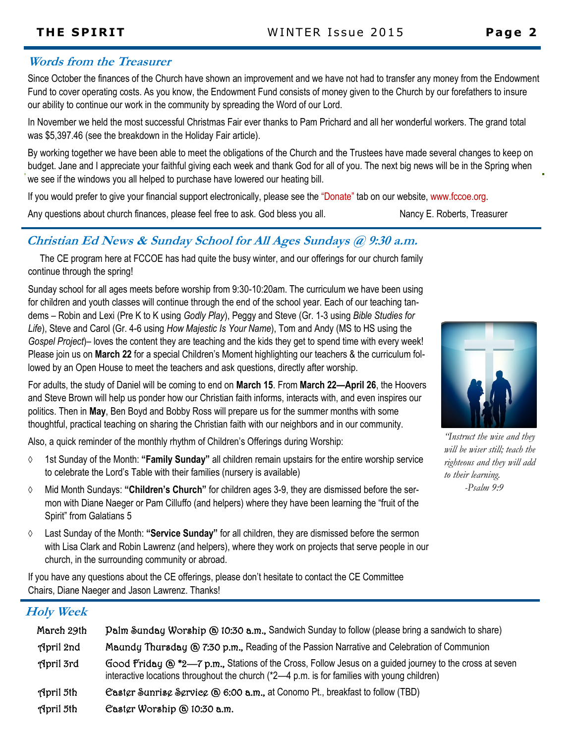# **Words from the Treasurer**

Since October the finances of the Church have shown an improvement and we have not had to transfer any money from the Endowment Fund to cover operating costs. As you know, the Endowment Fund consists of money given to the Church by our forefathers to insure our ability to continue our work in the community by spreading the Word of our Lord.

In November we held the most successful Christmas Fair ever thanks to Pam Prichard and all her wonderful workers. The grand total was \$5,397.46 (see the breakdown in the Holiday Fair article).

By working together we have been able to meet the obligations of the Church and the Trustees have made several changes to keep on budget. Jane and I appreciate your faithful giving each week and thank God for all of you. The next big news will be in the Spring when we see if the windows you all helped to purchase have lowered our heating bill.

If you would prefer to give your financial support electronically, please see the "Donate" tab on our website, www.fccoe.org.

Any questions about church finances, please feel free to ask. God bless you all. Nancy E. Roberts, Treasurer

# **Christian Ed News & Sunday School for All Ages Sundays @ 9:30 a.m.**

 The CE program here at FCCOE has had quite the busy winter, and our offerings for our church family continue through the spring!

Sunday school for all ages meets before worship from 9:30-10:20am. The curriculum we have been using for children and youth classes will continue through the end of the school year. Each of our teaching tandems – Robin and Lexi (Pre K to K using *Godly Play*), Peggy and Steve (Gr. 1-3 using *Bible Studies for Life*), Steve and Carol (Gr. 4-6 using *How Majestic Is Your Name*), Tom and Andy (MS to HS using the *Gospel Project*)– loves the content they are teaching and the kids they get to spend time with every week! Please join us on **March 22** for a special Children's Moment highlighting our teachers & the curriculum followed by an Open House to meet the teachers and ask questions, directly after worship.



Also, a quick reminder of the monthly rhythm of Children's Offerings during Worship:

- 1st Sunday of the Month: **"Family Sunday"** all children remain upstairs for the entire worship service to celebrate the Lord's Table with their families (nursery is available)
- Mid Month Sundays: **"Children's Church"** for children ages 3-9, they are dismissed before the sermon with Diane Naeger or Pam Cilluffo (and helpers) where they have been learning the "fruit of the Spirit" from Galatians 5
- Last Sunday of the Month: **"Service Sunday"** for all children, they are dismissed before the sermon with Lisa Clark and Robin Lawrenz (and helpers), where they work on projects that serve people in our church, in the surrounding community or abroad.

If you have any questions about the CE offerings, please don't hesitate to contact the CE Committee Chairs, Diane Naeger and Jason Lawrenz. Thanks!

# **Holy Week**

| March 29th       | Palm Sunday Worship @ 10:30 a.m., Sandwich Sunday to follow (please bring a sandwich to share)                                                                                                               |
|------------------|--------------------------------------------------------------------------------------------------------------------------------------------------------------------------------------------------------------|
| Hpril 2nd        | Maundy Thursday @ 7:30 p.m., Reading of the Passion Narrative and Celebration of Communion                                                                                                                   |
| April 3rd        | Good Friday $\omega$ *2-7 p.m., Stations of the Cross, Follow Jesus on a guided journey to the cross at seven<br>interactive locations throughout the church (*2-4 p.m. is for families with young children) |
| <b>April 5th</b> | Caster Sunrise Service (@ 6:00 a.m., at Conomo Pt., breakfast to follow (TBD)                                                                                                                                |
| <b>April 5th</b> | Caster Worship @ 10:30 a.m.                                                                                                                                                                                  |



*"Instruct the wise and they will be wiser still; teach the righteous and they will add to their learning. -Psalm 9:9*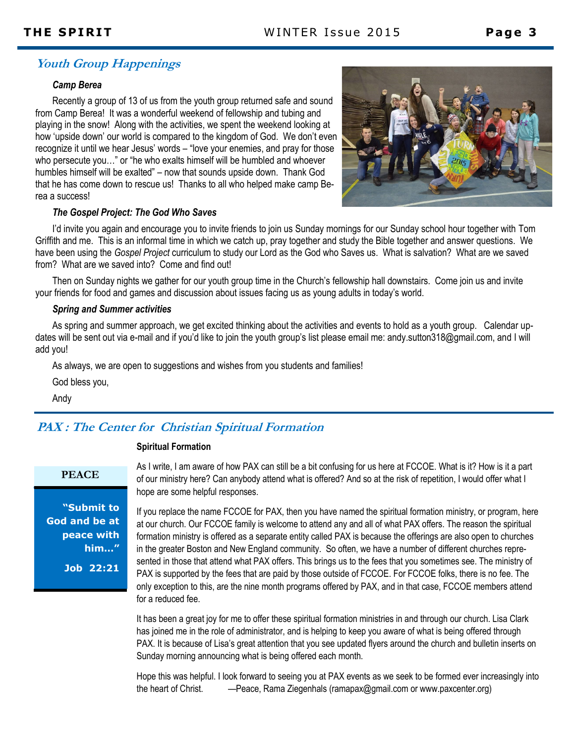# **Youth Group Happenings**

#### *Camp Berea*

Recently a group of 13 of us from the youth group returned safe and sound from Camp Berea! It was a wonderful weekend of fellowship and tubing and playing in the snow! Along with the activities, we spent the weekend looking at how 'upside down' our world is compared to the kingdom of God. We don't even recognize it until we hear Jesus' words – "love your enemies, and pray for those who persecute you…" or "he who exalts himself will be humbled and whoever humbles himself will be exalted" – now that sounds upside down. Thank God that he has come down to rescue us! Thanks to all who helped make camp Berea a success!



#### *The Gospel Project: The God Who Saves*

I'd invite you again and encourage you to invite friends to join us Sunday mornings for our Sunday school hour together with Tom Griffith and me. This is an informal time in which we catch up, pray together and study the Bible together and answer questions. We have been using the *Gospel Project* curriculum to study our Lord as the God who Saves us. What is salvation? What are we saved from? What are we saved into? Come and find out!

Then on Sunday nights we gather for our youth group time in the Church's fellowship hall downstairs. Come join us and invite your friends for food and games and discussion about issues facing us as young adults in today's world.

#### *Spring and Summer activities*

As spring and summer approach, we get excited thinking about the activities and events to hold as a youth group. Calendar updates will be sent out via e-mail and if you'd like to join the youth group's list please email me: andy.sutton318@gmail.com, and I will add you!

As always, we are open to suggestions and wishes from you students and families!

God bless you,

Andy

## **PAX : The Center for Christian Spiritual Formation**

#### **Spiritual Formation**

#### **PEACE**

**"Submit to God and be at peace with him…" Job 22:21**

As I write, I am aware of how PAX can still be a bit confusing for us here at FCCOE. What is it? How is it a part of our ministry here? Can anybody attend what is offered? And so at the risk of repetition, I would offer what I hope are some helpful responses.

If you replace the name FCCOE for PAX, then you have named the spiritual formation ministry, or program, here at our church. Our FCCOE family is welcome to attend any and all of what PAX offers. The reason the spiritual formation ministry is offered as a separate entity called PAX is because the offerings are also open to churches in the greater Boston and New England community. So often, we have a number of different churches represented in those that attend what PAX offers. This brings us to the fees that you sometimes see. The ministry of PAX is supported by the fees that are paid by those outside of FCCOE. For FCCOE folks, there is no fee. The only exception to this, are the nine month programs offered by PAX, and in that case, FCCOE members attend for a reduced fee.

It has been a great joy for me to offer these spiritual formation ministries in and through our church. Lisa Clark has joined me in the role of administrator, and is helping to keep you aware of what is being offered through PAX. It is because of Lisa's great attention that you see updated flyers around the church and bulletin inserts on Sunday morning announcing what is being offered each month.

Hope this was helpful. I look forward to seeing you at PAX events as we seek to be formed ever increasingly into the heart of Christ. —Peace, Rama Ziegenhals (ramapax@gmail.com or www.paxcenter.org)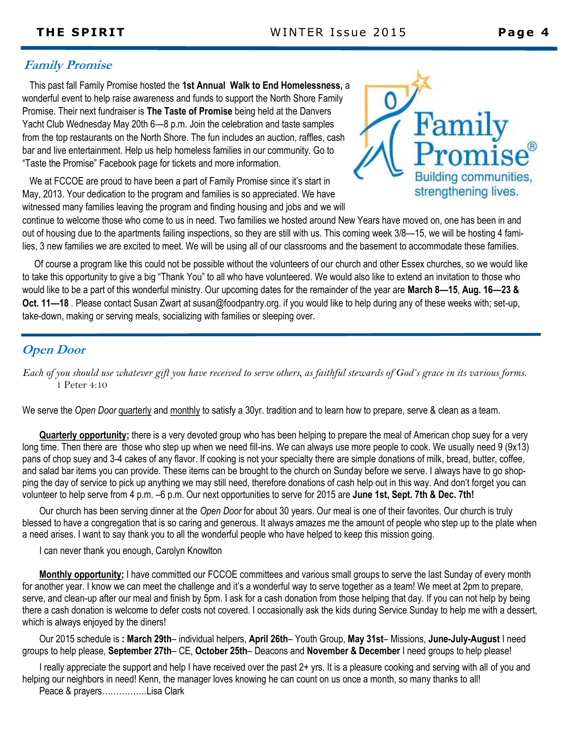# **Family Promise**

 This past fall Family Promise hosted the **1st Annual Walk to End Homelessness,** a wonderful event to help raise awareness and funds to support the North Shore Family Promise. Their next fundraiser is **The Taste of Promise** being held at the Danvers Yacht Club Wednesday May 20th 6—8 p.m. Join the celebration and taste samples from the top restaurants on the North Shore. The fun includes an auction, raffles, cash bar and live entertainment. Help us help homeless families in our community. Go to "Taste the Promise" Facebook page for tickets and more information.

 We at FCCOE are proud to have been a part of Family Promise since it's start in May, 2013. Your dedication to the program and families is so appreciated. We have witnessed many families leaving the program and finding housing and jobs and we will



continue to welcome those who come to us in need. Two families we hosted around New Years have moved on, one has been in and out of housing due to the apartments failing inspections, so they are still with us. This coming week 3/8—15, we will be hosting 4 families, 3 new families we are excited to meet. We will be using all of our classrooms and the basement to accommodate these families.

 Of course a program like this could not be possible without the volunteers of our church and other Essex churches, so we would like to take this opportunity to give a big "Thank You" to all who have volunteered. We would also like to extend an invitation to those who would like to be a part of this wonderful ministry. Our upcoming dates for the remainder of the year are **March 8—15**, **Aug. 16—23 & Oct. 11—18** . Please contact Susan Zwart at susan@foodpantry.org. if you would like to help during any of these weeks with; set-up, take-down, making or serving meals, socializing with families or sleeping over.

# **Open Door**

*Each of you should use whatever gift you have received to serve others, as faithful stewards of God's grace in its various forms.*  1 Peter 4:10

We serve the *Open Door* quarterly and monthly to satisfy a 30yr. tradition and to learn how to prepare, serve & clean as a team.

**Quarterly opportunity;** there is a very devoted group who has been helping to prepare the meal of American chop suey for a very long time. Then there are those who step up when we need fill-ins. We can always use more people to cook. We usually need 9 (9x13) pans of chop suey and 3-4 cakes of any flavor. If cooking is not your specialty there are simple donations of milk, bread, butter, coffee, and salad bar items you can provide. These items can be brought to the church on Sunday before we serve. I always have to go shopping the day of service to pick up anything we may still need, therefore donations of cash help out in this way. And don't forget you can volunteer to help serve from 4 p.m. –6 p.m. Our next opportunities to serve for 2015 are **June 1st, Sept. 7th & Dec. 7th!**

Our church has been serving dinner at the *Open Door* for about 30 years. Our meal is one of their favorites. Our church is truly blessed to have a congregation that is so caring and generous. It always amazes me the amount of people who step up to the plate when a need arises. I want to say thank you to all the wonderful people who have helped to keep this mission going.

I can never thank you enough, Carolyn Knowlton

**Monthly opportunity;** I have committed our FCCOE committees and various small groups to serve the last Sunday of every month for another year. I know we can meet the challenge and it's a wonderful way to serve together as a team! We meet at 2pm to prepare, serve, and clean-up after our meal and finish by 5pm. I ask for a cash donation from those helping that day. If you can not help by being there a cash donation is welcome to defer costs not covered. I occasionally ask the kids during Service Sunday to help me with a dessert, which is always enjoyed by the diners!

Our 2015 schedule is **: March 29th**– individual helpers, **April 26th**– Youth Group, **May 31st**– Missions, **June-July-August** I need groups to help please, **September 27th**– CE, **October 25th**– Deacons and **November & December** I need groups to help please!

I really appreciate the support and help I have received over the past 2+ yrs. It is a pleasure cooking and serving with all of you and helping our neighbors in need! Kenn, the manager loves knowing he can count on us once a month, so many thanks to all!

Peace & prayers…………….Lisa Clark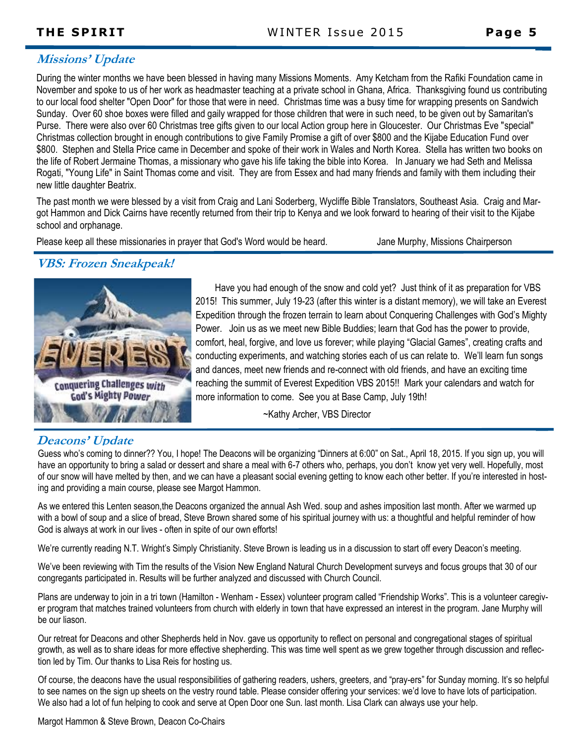# **Missions' Update**

During the winter months we have been blessed in having many Missions Moments. Amy Ketcham from the Rafiki Foundation came in November and spoke to us of her work as headmaster teaching at a private school in Ghana, Africa. Thanksgiving found us contributing to our local food shelter "Open Door" for those that were in need. Christmas time was a busy time for wrapping presents on Sandwich Sunday. Over 60 shoe boxes were filled and gaily wrapped for those children that were in such need, to be given out by Samaritan's Purse. There were also over 60 Christmas tree gifts given to our local Action group here in Gloucester. Our Christmas Eve "special" Christmas collection brought in enough contributions to give Family Promise a gift of over \$800 and the Kijabe Education Fund over \$800. Stephen and Stella Price came in December and spoke of their work in Wales and North Korea. Stella has written two books on the life of Robert Jermaine Thomas, a missionary who gave his life taking the bible into Korea. In January we had Seth and Melissa Rogati, "Young Life" in Saint Thomas come and visit. They are from Essex and had many friends and family with them including their new little daughter Beatrix.

The past month we were blessed by a visit from Craig and Lani Soderberg, Wycliffe Bible Translators, Southeast Asia. Craig and Margot Hammon and Dick Cairns have recently returned from their trip to Kenya and we look forward to hearing of their visit to the Kijabe school and orphanage.

Please keep all these missionaries in prayer that God's Word would be heard. Some Murphy, Missions Chairperson

# **VBS: Frozen Sneakpeak!**



Have you had enough of the snow and cold yet? Just think of it as preparation for VBS 2015! This summer, July 19-23 (after this winter is a distant memory), we will take an Everest Expedition through the frozen terrain to learn about Conquering Challenges with God's Mighty Power. Join us as we meet new Bible Buddies; learn that God has the power to provide, comfort, heal, forgive, and love us forever; while playing "Glacial Games", creating crafts and conducting experiments, and watching stories each of us can relate to. We'll learn fun songs and dances, meet new friends and re-connect with old friends, and have an exciting time reaching the summit of Everest Expedition VBS 2015!! Mark your calendars and watch for more information to come. See you at Base Camp, July 19th!

~Kathy Archer, VBS Director

# **Deacons' Update**

Guess who's coming to dinner?? You, I hope! The Deacons will be organizing "Dinners at 6:00" on Sat., April 18, 2015. If you sign up, you will have an opportunity to bring a salad or dessert and share a meal with 6-7 others who, perhaps, you don't know yet very well. Hopefully, most of our snow will have melted by then, and we can have a pleasant social evening getting to know each other better. If you're interested in hosting and providing a main course, please see Margot Hammon.

As we entered this Lenten season,the Deacons organized the annual Ash Wed. soup and ashes imposition last month. After we warmed up with a bowl of soup and a slice of bread, Steve Brown shared some of his spiritual journey with us: a thoughtful and helpful reminder of how God is always at work in our lives - often in spite of our own efforts!

We're currently reading N.T. Wright's Simply Christianity. Steve Brown is leading us in a discussion to start off every Deacon's meeting.

We've been reviewing with Tim the results of the Vision New England Natural Church Development surveys and focus groups that 30 of our congregants participated in. Results will be further analyzed and discussed with Church Council.

Plans are underway to join in a tri town (Hamilton - Wenham - Essex) volunteer program called "Friendship Works". This is a volunteer caregiver program that matches trained volunteers from church with elderly in town that have expressed an interest in the program. Jane Murphy will be our liason.

Our retreat for Deacons and other Shepherds held in Nov. gave us opportunity to reflect on personal and congregational stages of spiritual growth, as well as to share ideas for more effective shepherding. This was time well spent as we grew together through discussion and reflection led by Tim. Our thanks to Lisa Reis for hosting us.

Of course, the deacons have the usual responsibilities of gathering readers, ushers, greeters, and "pray-ers" for Sunday morning. It's so helpful to see names on the sign up sheets on the vestry round table. Please consider offering your services: we'd love to have lots of participation. We also had a lot of fun helping to cook and serve at Open Door one Sun. last month. Lisa Clark can always use your help.

Margot Hammon & Steve Brown, Deacon Co-Chairs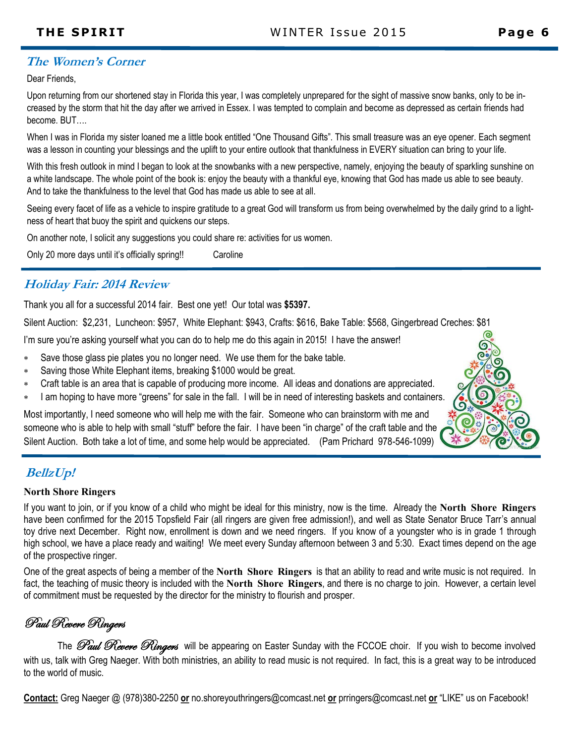# **The Women's Corner**

Dear Friends,

Upon returning from our shortened stay in Florida this year, I was completely unprepared for the sight of massive snow banks, only to be increased by the storm that hit the day after we arrived in Essex. I was tempted to complain and become as depressed as certain friends had become. BUT….

When I was in Florida my sister loaned me a little book entitled "One Thousand Gifts". This small treasure was an eye opener. Each segment was a lesson in counting your blessings and the uplift to your entire outlook that thankfulness in EVERY situation can bring to your life.

With this fresh outlook in mind I began to look at the snowbanks with a new perspective, namely, enjoying the beauty of sparkling sunshine on a white landscape. The whole point of the book is: enjoy the beauty with a thankful eye, knowing that God has made us able to see beauty. And to take the thankfulness to the level that God has made us able to see at all.

Seeing every facet of life as a vehicle to inspire gratitude to a great God will transform us from being overwhelmed by the daily grind to a lightness of heart that buoy the spirit and quickens our steps.

On another note, I solicit any suggestions you could share re: activities for us women.

Only 20 more days until it's officially spring!! Caroline

# **Holiday Fair: 2014 Review**

Thank you all for a successful 2014 fair. Best one yet! Our total was **\$5397.**

Silent Auction: \$2,231, Luncheon: \$957, White Elephant: \$943, Crafts: \$616, Bake Table: \$568, Gingerbread Creches: \$81

I'm sure you're asking yourself what you can do to help me do this again in 2015! I have the answer!

- Save those glass pie plates you no longer need. We use them for the bake table.
- Saving those White Elephant items, breaking \$1000 would be great.
- Craft table is an area that is capable of producing more income. All ideas and donations are appreciated.
- I am hoping to have more "greens" for sale in the fall. I will be in need of interesting baskets and containers.

Most importantly, I need someone who will help me with the fair. Someone who can brainstorm with me and someone who is able to help with small "stuff" before the fair. I have been "in charge" of the craft table and the Silent Auction. Both take a lot of time, and some help would be appreciated. (Pam Prichard 978-546-1099)

# **BellzUp!**

### **North Shore Ringers**

If you want to join, or if you know of a child who might be ideal for this ministry, now is the time. Already the **North Shore Ringers**  have been confirmed for the 2015 Topsfield Fair (all ringers are given free admission!), and well as State Senator Bruce Tarr's annual toy drive next December. Right now, enrollment is down and we need ringers. If you know of a youngster who is in grade 1 through high school, we have a place ready and waiting! We meet every Sunday afternoon between 3 and 5:30. Exact times depend on the age of the prospective ringer.

One of the great aspects of being a member of the **North Shore Ringers** is that an ability to read and write music is not required. In fact, the teaching of music theory is included with the **North Shore Ringers**, and there is no charge to join. However, a certain level of commitment must be requested by the director for the ministry to flourish and prosper.

# Paul Revere Ringers

The *Paul Revere Ringers* will be appearing on Easter Sunday with the FCCOE choir. If you wish to become involved with us, talk with Greg Naeger. With both ministries, an ability to read music is not required. In fact, this is a great way to be introduced to the world of music.

**Contact:** Greg Naeger @ (978)380-2250 **or** no.shoreyouthringers@comcast.net **or** prringers@comcast.net **or** "LIKE" us on Facebook!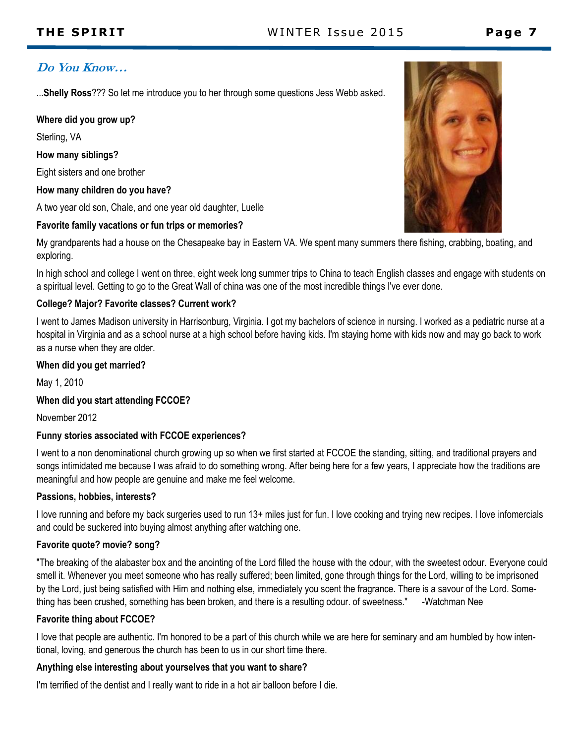# **Do You Know…**

...**Shelly Ross**??? So let me introduce you to her through some questions Jess Webb asked.

### **Where did you grow up?**

Sterling, VA

#### **How many siblings?**

Eight sisters and one brother

#### **How many children do you have?**

A two year old son, Chale, and one year old daughter, Luelle

### **Favorite family vacations or fun trips or memories?**



My grandparents had a house on the Chesapeake bay in Eastern VA. We spent many summers there fishing, crabbing, boating, and exploring.

In high school and college I went on three, eight week long summer trips to China to teach English classes and engage with students on a spiritual level. Getting to go to the Great Wall of china was one of the most incredible things I've ever done.

### **College? Major? Favorite classes? Current work?**

I went to James Madison university in Harrisonburg, Virginia. I got my bachelors of science in nursing. I worked as a pediatric nurse at a hospital in Virginia and as a school nurse at a high school before having kids. I'm staying home with kids now and may go back to work as a nurse when they are older.

### **When did you get married?**

May 1, 2010

### **When did you start attending FCCOE?**

November 2012

#### **Funny stories associated with FCCOE experiences?**

I went to a non denominational church growing up so when we first started at FCCOE the standing, sitting, and traditional prayers and songs intimidated me because I was afraid to do something wrong. After being here for a few years, I appreciate how the traditions are meaningful and how people are genuine and make me feel welcome.

### **Passions, hobbies, interests?**

I love running and before my back surgeries used to run 13+ miles just for fun. I love cooking and trying new recipes. I love infomercials and could be suckered into buying almost anything after watching one.

### **Favorite quote? movie? song?**

"The breaking of the alabaster box and the anointing of the Lord filled the house with the odour, with the sweetest odour. Everyone could smell it. Whenever you meet someone who has really suffered; been limited, gone through things for the Lord, willing to be imprisoned by the Lord, just being satisfied with Him and nothing else, immediately you scent the fragrance. There is a savour of the Lord. Something has been crushed, something has been broken, and there is a resulting odour. of sweetness." -Watchman Nee

### **Favorite thing about FCCOE?**

I love that people are authentic. I'm honored to be a part of this church while we are here for seminary and am humbled by how intentional, loving, and generous the church has been to us in our short time there.

### **Anything else interesting about yourselves that you want to share?**

I'm terrified of the dentist and I really want to ride in a hot air balloon before I die.